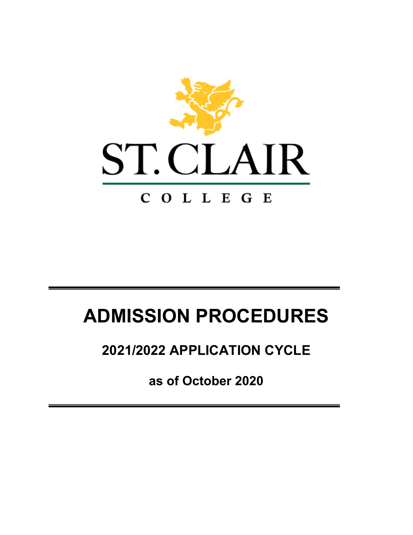

# **ADMISSION PROCEDURES**

# **2021/2022 APPLICATION CYCLE**

**as of October 2020**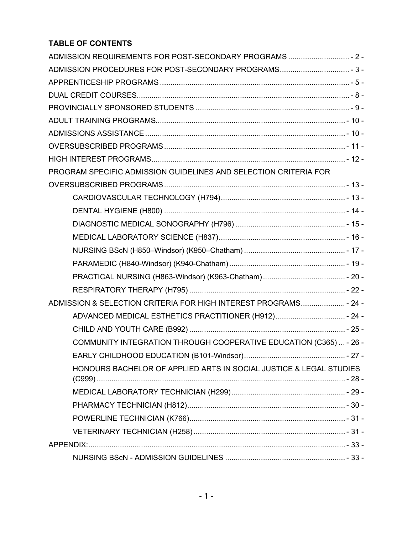# **TABLE OF CONTENTS**

| ADMISSION REQUIREMENTS FOR POST-SECONDARY PROGRAMS  2 -            |  |
|--------------------------------------------------------------------|--|
| ADMISSION PROCEDURES FOR POST-SECONDARY PROGRAMS 3-                |  |
|                                                                    |  |
|                                                                    |  |
|                                                                    |  |
|                                                                    |  |
|                                                                    |  |
|                                                                    |  |
|                                                                    |  |
| PROGRAM SPECIFIC ADMISSION GUIDELINES AND SELECTION CRITERIA FOR   |  |
|                                                                    |  |
|                                                                    |  |
|                                                                    |  |
|                                                                    |  |
|                                                                    |  |
|                                                                    |  |
|                                                                    |  |
|                                                                    |  |
|                                                                    |  |
| ADMISSION & SELECTION CRITERIA FOR HIGH INTEREST PROGRAMS - 24 -   |  |
| ADVANCED MEDICAL ESTHETICS PRACTITIONER (H912) - 24 -              |  |
|                                                                    |  |
| COMMUNITY INTEGRATION THROUGH COOPERATIVE EDUCATION (C365)  - 26 - |  |
|                                                                    |  |
| HONOURS BACHELOR OF APPLIED ARTS IN SOCIAL JUSTICE & LEGAL STUDIES |  |
|                                                                    |  |
|                                                                    |  |
|                                                                    |  |
|                                                                    |  |
|                                                                    |  |
|                                                                    |  |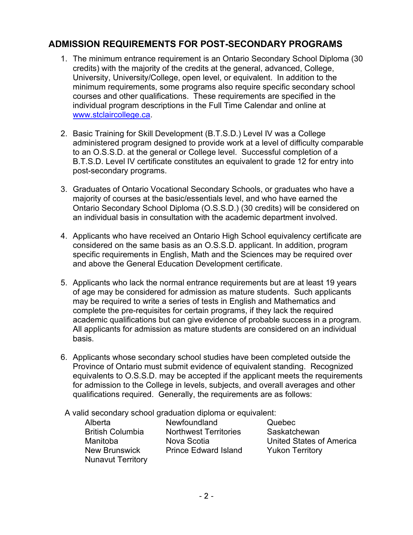# <span id="page-2-0"></span>**ADMISSION REQUIREMENTS FOR POST-SECONDARY PROGRAMS**

- 1. The minimum entrance requirement is an Ontario Secondary School Diploma (30 credits) with the majority of the credits at the general, advanced, College, University, University/College, open level, or equivalent. In addition to the minimum requirements, some programs also require specific secondary school courses and other qualifications. These requirements are specified in the individual program descriptions in the Full Time Calendar and online at [www.stclaircollege.ca.](http://www.stclaircollege.ca/)
- 2. Basic Training for Skill Development (B.T.S.D.) Level IV was a College administered program designed to provide work at a level of difficulty comparable to an O.S.S.D. at the general or College level. Successful completion of a B.T.S.D. Level IV certificate constitutes an equivalent to grade 12 for entry into post-secondary programs.
- 3. Graduates of Ontario Vocational Secondary Schools, or graduates who have a majority of courses at the basic/essentials level, and who have earned the Ontario Secondary School Diploma (O.S.S.D.) (30 credits) will be considered on an individual basis in consultation with the academic department involved.
- 4. Applicants who have received an Ontario High School equivalency certificate are considered on the same basis as an O.S.S.D. applicant. In addition, program specific requirements in English, Math and the Sciences may be required over and above the General Education Development certificate.
- 5. Applicants who lack the normal entrance requirements but are at least 19 years of age may be considered for admission as mature students. Such applicants may be required to write a series of tests in English and Mathematics and complete the pre-requisites for certain programs, if they lack the required academic qualifications but can give evidence of probable success in a program. All applicants for admission as mature students are considered on an individual basis.
- 6. Applicants whose secondary school studies have been completed outside the Province of Ontario must submit evidence of equivalent standing. Recognized equivalents to O.S.S.D. may be accepted if the applicant meets the requirements for admission to the College in levels, subjects, and overall averages and other qualifications required. Generally, the requirements are as follows:

A valid secondary school graduation diploma or equivalent:

Nunavut Territory

Alberta Newfoundland Quebec Northwest Territories Saskatchewan New Brunswick Prince Edward Island Yukon Territory

Manitoba Nova Scotia United States of America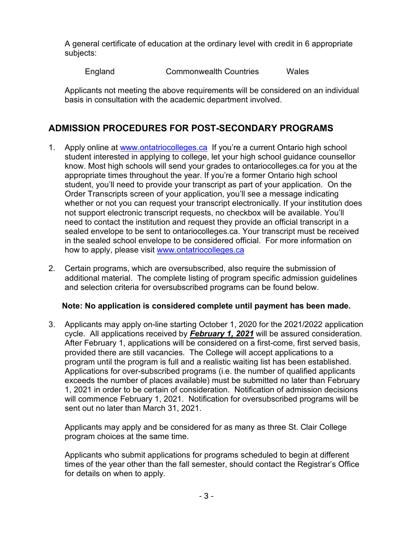A general certificate of education at the ordinary level with credit in 6 appropriate subjects:

England Commonwealth Countries Wales

Applicants not meeting the above requirements will be considered on an individual basis in consultation with the academic department involved.

# <span id="page-3-0"></span>**ADMISSION PROCEDURES FOR POST-SECONDARY PROGRAMS**

- 1. Apply online at [www.ontatriocolleges.ca](http://www.ontatriocolleges.ca/) If you're a current Ontario high school student interested in applying to college, let your high school guidance counsellor know. Most high schools will send your grades to ontariocolleges.ca for you at the appropriate times throughout the year. If you're a former Ontario high school student, you'll need to provide your transcript as part of your application. On the Order Transcripts screen of your application, you'll see a message indicating whether or not you can request your transcript electronically. If your institution does not support electronic transcript requests, no checkbox will be available. You'll need to contact the institution and request they provide an official transcript in a sealed envelope to be sent to ontariocolleges.ca. Your transcript must be received in the sealed school envelope to be considered official. For more information on how to apply, please visit [www.ontatriocolleges.ca](http://www.ontatriocolleges.ca/)
- 2. Certain programs, which are oversubscribed, also require the submission of additional material. The complete listing of program specific admission guidelines and selection criteria for oversubscribed programs can be found below.

## **Note: No application is considered complete until payment has been made.**

3. Applicants may apply on-line starting October 1, 2020 for the 2021/2022 application cycle. All applications received by *February 1, 2021* will be assured consideration. After February 1, applications will be considered on a first-come, first served basis, provided there are still vacancies. The College will accept applications to a program until the program is full and a realistic waiting list has been established. Applications for over-subscribed programs (i.e. the number of qualified applicants exceeds the number of places available) must be submitted no later than February 1, 2021 in order to be certain of consideration. Notification of admission decisions will commence February 1, 2021. Notification for oversubscribed programs will be sent out no later than March 31, 2021.

 Applicants may apply and be considered for as many as three St. Clair College program choices at the same time.

Applicants who submit applications for programs scheduled to begin at different times of the year other than the fall semester, should contact the Registrar's Office for details on when to apply.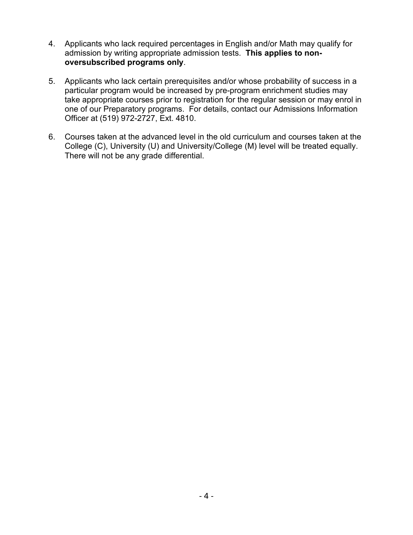- 4. Applicants who lack required percentages in English and/or Math may qualify for admission by writing appropriate admission tests. **This applies to nonoversubscribed programs only**.
- 5. Applicants who lack certain prerequisites and/or whose probability of success in a particular program would be increased by pre-program enrichment studies may take appropriate courses prior to registration for the regular session or may enrol in one of our Preparatory programs. For details, contact our Admissions Information Officer at (519) 972-2727, Ext. 4810.
- 6. Courses taken at the advanced level in the old curriculum and courses taken at the College (C), University (U) and University/College (M) level will be treated equally. There will not be any grade differential.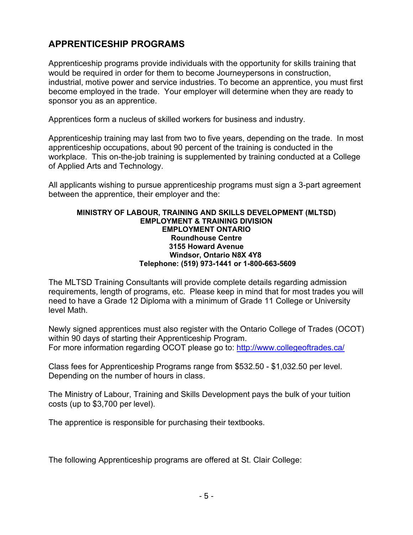# <span id="page-5-0"></span>**APPRENTICESHIP PROGRAMS**

Apprenticeship programs provide individuals with the opportunity for skills training that would be required in order for them to become Journeypersons in construction, industrial, motive power and service industries. To become an apprentice, you must first become employed in the trade. Your employer will determine when they are ready to sponsor you as an apprentice.

Apprentices form a nucleus of skilled workers for business and industry.

Apprenticeship training may last from two to five years, depending on the trade. In most apprenticeship occupations, about 90 percent of the training is conducted in the workplace. This on-the-job training is supplemented by training conducted at a College of Applied Arts and Technology.

All applicants wishing to pursue apprenticeship programs must sign a 3-part agreement between the apprentice, their employer and the:

#### **MINISTRY OF LABOUR, TRAINING AND SKILLS DEVELOPMENT (MLTSD) EMPLOYMENT & TRAINING DIVISION EMPLOYMENT ONTARIO Roundhouse Centre 3155 Howard Avenue Windsor, Ontario N8X 4Y8 Telephone: (519) 973-1441 or 1-800-663-5609**

The MLTSD Training Consultants will provide complete details regarding admission requirements, length of programs, etc. Please keep in mind that for most trades you will need to have a Grade 12 Diploma with a minimum of Grade 11 College or University level Math.

Newly signed apprentices must also register with the Ontario College of Trades (OCOT) within 90 days of starting their Apprenticeship Program. For more information regarding OCOT please go to:<http://www.collegeoftrades.ca/>

Class fees for Apprenticeship Programs range from \$532.50 - \$1,032.50 per level. Depending on the number of hours in class.

The Ministry of Labour, Training and Skills Development pays the bulk of your tuition costs (up to \$3,700 per level).

The apprentice is responsible for purchasing their textbooks.

The following Apprenticeship programs are offered at St. Clair College: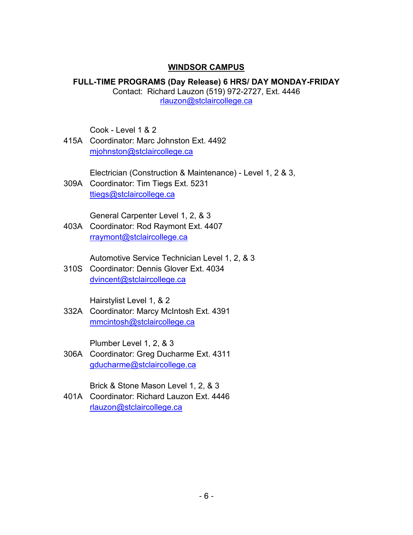#### **WINDSOR CAMPUS**

**FULL-TIME PROGRAMS (Day Release) 6 HRS/ DAY MONDAY-FRIDAY** Contact: Richard Lauzon (519) 972-2727, Ext. 4446 [rlauzon@stclaircollege.ca](mailto:rlauzon@stclaircollege.ca)

Cook - Level 1 & 2

415A Coordinator: Marc Johnston Ext. 4492 [mjohnston@stclaircollege.ca](mailto:mjohnston@stclaircollege.ca)

Electrician (Construction & Maintenance) - Level 1, 2 & 3,

309A Coordinator: Tim Tiegs Ext. 5231 [ttiegs@stclaircollege.ca](mailto:ttiegs@stclaircollege.ca)

General Carpenter Level 1, 2, & 3

403A Coordinator: Rod Raymont Ext. 4407 [rraymont@stclaircollege.ca](mailto:rraymont@stclaircollege.ca)

Automotive Service Technician Level 1, 2, & 3

310S Coordinator: Dennis Glover Ext. 4034 [dvincent@stclaircollege.ca](mailto:dvincent@stclaircollege.ca)

Hairstylist Level 1, & 2

332A Coordinator: Marcy McIntosh Ext. 4391 [mmcintosh@stclaircollege.ca](mailto:mmcintosh@stclaircollege.ca)

Plumber Level 1, 2, & 3

306A Coordinator: Greg Ducharme Ext. 4311 [gducharme@stclaircollege.ca](mailto:gducharme@stclaircollege.ca)

Brick & Stone Mason Level 1, 2, & 3

401A Coordinator: Richard Lauzon Ext. 4446 [rlauzon@stclaircollege.ca](mailto:rlauzon@stclaircollege.ca)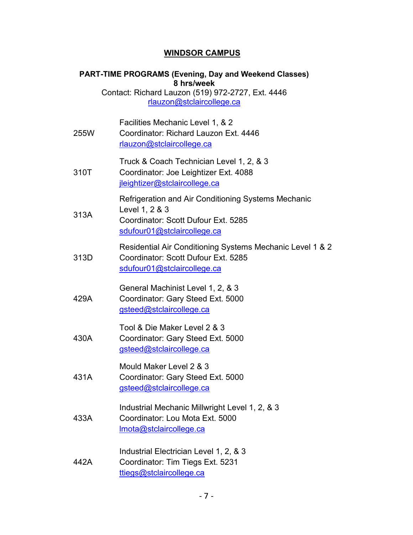# **WINDSOR CAMPUS**

|      | <b>PART-TIME PROGRAMS (Evening, Day and Weekend Classes)</b><br>8 hrs/week<br>Contact: Richard Lauzon (519) 972-2727, Ext. 4446<br>rlauzon@stclaircollege.ca |
|------|--------------------------------------------------------------------------------------------------------------------------------------------------------------|
| 255W | Facilities Mechanic Level 1, & 2<br>Coordinator: Richard Lauzon Ext. 4446<br>rlauzon@stclaircollege.ca                                                       |
| 310T | Truck & Coach Technician Level 1, 2, & 3<br>Coordinator: Joe Leightizer Ext. 4088<br>jleightizer@stclaircollege.ca                                           |
| 313A | Refrigeration and Air Conditioning Systems Mechanic<br>Level 1, 2 & 3<br>Coordinator: Scott Dufour Ext. 5285<br>sdufour01@stclaircollege.ca                  |
| 313D | Residential Air Conditioning Systems Mechanic Level 1 & 2<br>Coordinator: Scott Dufour Ext. 5285<br>sdufour01@stclaircollege.ca                              |
| 429A | General Machinist Level 1, 2, & 3<br>Coordinator: Gary Steed Ext. 5000<br>gsteed@stclaircollege.ca                                                           |
| 430A | Tool & Die Maker Level 2 & 3<br>Coordinator: Gary Steed Ext. 5000<br>gsteed@stclaircollege.ca                                                                |
| 431A | Mould Maker Level 2 & 3<br>Coordinator: Gary Steed Ext. 5000<br>gsteed@stclaircollege.ca                                                                     |
| 433A | Industrial Mechanic Millwright Level 1, 2, & 3<br>Coordinator: Lou Mota Ext. 5000<br>Imota@stclaircollege.ca                                                 |
| 442A | Industrial Electrician Level 1, 2, & 3<br>Coordinator: Tim Tiegs Ext. 5231<br>ttiegs@stclaircollege.ca                                                       |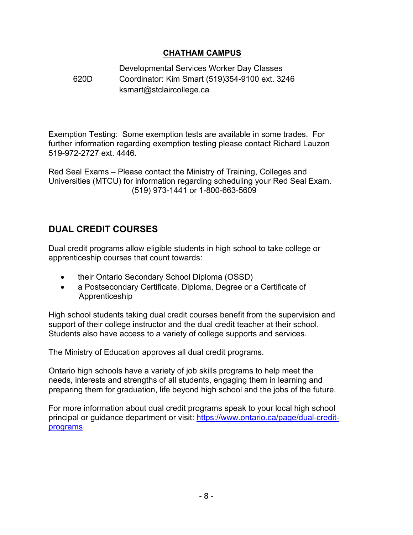# **CHATHAM CAMPUS**

#### 620D Developmental Services Worker Day Classes Coordinator: Kim Smart (519)354-9100 ext. 3246 ksmart@stclaircollege.ca

Exemption Testing: Some exemption tests are available in some trades. For further information regarding exemption testing please contact Richard Lauzon 519-972-2727 ext. 4446.

Red Seal Exams – Please contact the Ministry of Training, Colleges and Universities (MTCU) for information regarding scheduling your Red Seal Exam. (519) 973-1441 or 1-800-663-5609

# <span id="page-8-0"></span>**DUAL CREDIT COURSES**

Dual credit programs allow eligible students in high school to take college or apprenticeship courses that count towards:

- their Ontario Secondary School Diploma (OSSD)
- a Postsecondary Certificate, Diploma, Degree or a Certificate of Apprenticeship

High school students taking dual credit courses benefit from the supervision and support of their college instructor and the dual credit teacher at their school. Students also have access to a variety of college supports and services.

The Ministry of Education approves all dual credit programs.

Ontario high schools have a variety of job skills programs to help meet the needs, interests and strengths of all students, engaging them in learning and preparing them for graduation, life beyond high school and the jobs of the future.

For more information about dual credit programs speak to your local high school principal or guidance department or visit: [https://www.ontario.ca/page/dual-credit](https://www.ontario.ca/page/dual-credit-programs)[programs](https://www.ontario.ca/page/dual-credit-programs)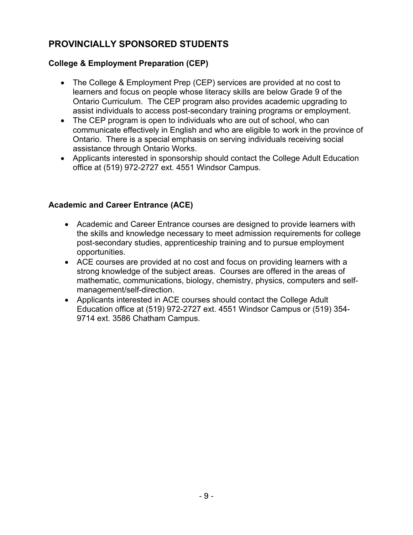# <span id="page-9-0"></span>**PROVINCIALLY SPONSORED STUDENTS**

# **College & Employment Preparation (CEP)**

- The College & Employment Prep (CEP) services are provided at no cost to learners and focus on people whose literacy skills are below Grade 9 of the Ontario Curriculum. The CEP program also provides academic upgrading to assist individuals to access post-secondary training programs or employment.
- The CEP program is open to individuals who are out of school, who can communicate effectively in English and who are eligible to work in the province of Ontario. There is a special emphasis on serving individuals receiving social assistance through Ontario Works.
- Applicants interested in sponsorship should contact the College Adult Education office at (519) 972-2727 ext. 4551 Windsor Campus.

# **Academic and Career Entrance (ACE)**

- Academic and Career Entrance courses are designed to provide learners with the skills and knowledge necessary to meet admission requirements for college post-secondary studies, apprenticeship training and to pursue employment opportunities.
- ACE courses are provided at no cost and focus on providing learners with a strong knowledge of the subject areas. Courses are offered in the areas of mathematic, communications, biology, chemistry, physics, computers and selfmanagement/self-direction.
- Applicants interested in ACE courses should contact the College Adult Education office at (519) 972-2727 ext. 4551 Windsor Campus or (519) 354- 9714 ext. 3586 Chatham Campus.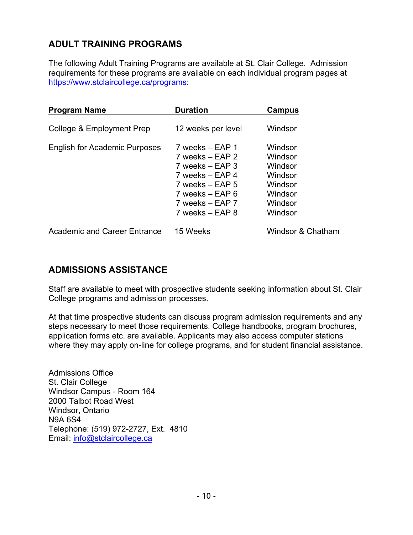# <span id="page-10-0"></span>**ADULT TRAINING PROGRAMS**

The following Adult Training Programs are available at St. Clair College. Admission requirements for these programs are available on each individual program pages at [https://www.stclaircollege.ca/programs:](https://www.stclaircollege.ca/programs)

| <b>Program Name</b>                  | <b>Duration</b>                                                                                                                                              | Campus                                                                               |
|--------------------------------------|--------------------------------------------------------------------------------------------------------------------------------------------------------------|--------------------------------------------------------------------------------------|
| College & Employment Prep            | 12 weeks per level                                                                                                                                           | Windsor                                                                              |
| <b>English for Academic Purposes</b> | 7 weeks – EAP 1<br>$7$ weeks $-$ EAP 2<br>$7$ weeks $-$ EAP 3<br>7 weeks – EAP 4<br>7 weeks – EAP 5<br>7 weeks – EAP 6<br>7 weeks – EAP 7<br>7 weeks – EAP 8 | Windsor<br>Windsor<br>Windsor<br>Windsor<br>Windsor<br>Windsor<br>Windsor<br>Windsor |
| <b>Academic and Career Entrance</b>  | 15 Weeks                                                                                                                                                     | Windsor & Chatham                                                                    |

# <span id="page-10-1"></span>**ADMISSIONS ASSISTANCE**

Staff are available to meet with prospective students seeking information about St. Clair College programs and admission processes.

At that time prospective students can discuss program admission requirements and any steps necessary to meet those requirements. College handbooks, program brochures, application forms etc. are available. Applicants may also access computer stations where they may apply on-line for college programs, and for student financial assistance.

Admissions Office St. Clair College Windsor Campus - Room 164 2000 Talbot Road West Windsor, Ontario N9A 6S4 Telephone: (519) 972-2727, Ext. 4810 Email: [info@stclaircollege.ca](mailto:info@stclaircollege.ca)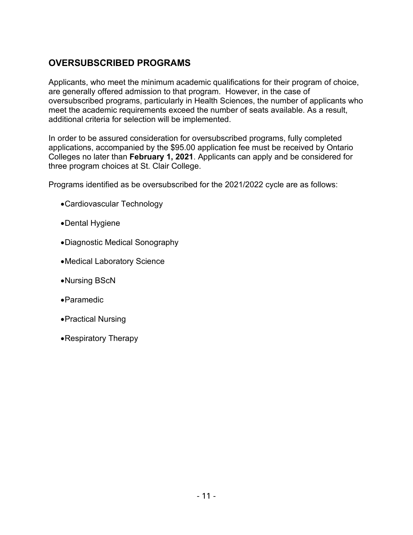# <span id="page-11-0"></span>**OVERSUBSCRIBED PROGRAMS**

Applicants, who meet the minimum academic qualifications for their program of choice, are generally offered admission to that program. However, in the case of oversubscribed programs, particularly in Health Sciences, the number of applicants who meet the academic requirements exceed the number of seats available. As a result, additional criteria for selection will be implemented.

In order to be assured consideration for oversubscribed programs, fully completed applications, accompanied by the \$95.00 application fee must be received by Ontario Colleges no later than **February 1, 2021**. Applicants can apply and be considered for three program choices at St. Clair College.

Programs identified as be oversubscribed for the 2021/2022 cycle are as follows:

- •Cardiovascular Technology
- •Dental Hygiene
- •Diagnostic Medical Sonography
- •Medical Laboratory Science
- •Nursing BScN
- •Paramedic
- •Practical Nursing
- •Respiratory Therapy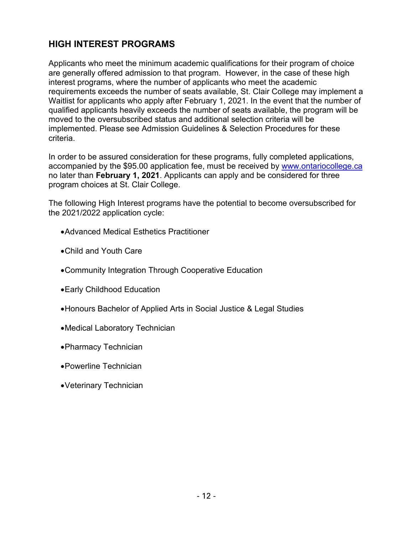# <span id="page-12-0"></span>**HIGH INTEREST PROGRAMS**

Applicants who meet the minimum academic qualifications for their program of choice are generally offered admission to that program. However, in the case of these high interest programs, where the number of applicants who meet the academic requirements exceeds the number of seats available, St. Clair College may implement a Waitlist for applicants who apply after February 1, 2021. In the event that the number of qualified applicants heavily exceeds the number of seats available, the program will be moved to the oversubscribed status and additional selection criteria will be implemented. Please see Admission Guidelines & Selection Procedures for these criteria.

In order to be assured consideration for these programs, fully completed applications, accompanied by the \$95.00 application fee, must be received by [www.ontariocollege.ca](http://www.ontariocollege.ca/) no later than **February 1, 2021**. Applicants can apply and be considered for three program choices at St. Clair College.

The following High Interest programs have the potential to become oversubscribed for the 2021/2022 application cycle:

- •Advanced Medical Esthetics Practitioner
- •Child and Youth Care
- •Community Integration Through Cooperative Education
- •Early Childhood Education
- •Honours Bachelor of Applied Arts in Social Justice & Legal Studies
- •Medical Laboratory Technician
- •Pharmacy Technician
- •Powerline Technician
- •Veterinary Technician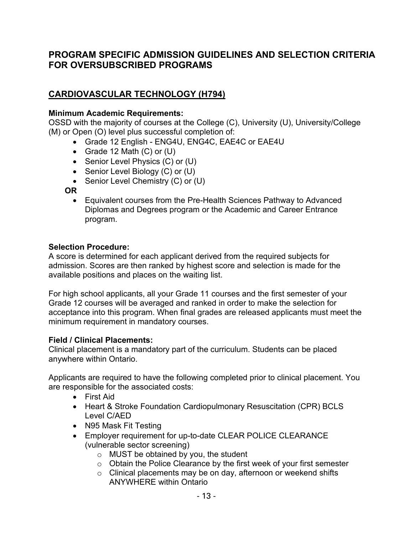# <span id="page-13-0"></span>**PROGRAM SPECIFIC ADMISSION GUIDELINES AND SELECTION CRITERIA FOR OVERSUBSCRIBED PROGRAMS**

# <span id="page-13-1"></span>**CARDIOVASCULAR TECHNOLOGY (H794)**

#### **Minimum Academic Requirements:**

OSSD with the majority of courses at the College (C), University (U), University/College (M) or Open (O) level plus successful completion of:

- Grade 12 English ENG4U, ENG4C, EAE4C or EAE4U
- Grade 12 Math (C) or (U)
- Senior Level Physics (C) or (U)
- Senior Level Biology (C) or (U)
- Senior Level Chemistry (C) or (U)

**OR**

• Equivalent courses from the Pre-Health Sciences Pathway to Advanced Diplomas and Degrees program or the Academic and Career Entrance program.

#### **Selection Procedure:**

A score is determined for each applicant derived from the required subjects for admission. Scores are then ranked by highest score and selection is made for the available positions and places on the waiting list.

For high school applicants, all your Grade 11 courses and the first semester of your Grade 12 courses will be averaged and ranked in order to make the selection for acceptance into this program. When final grades are released applicants must meet the minimum requirement in mandatory courses.

#### **Field / Clinical Placements:**

Clinical placement is a mandatory part of the curriculum. Students can be placed anywhere within Ontario.

Applicants are required to have the following completed prior to clinical placement. You are responsible for the associated costs:

- First Aid
- Heart & Stroke Foundation Cardiopulmonary Resuscitation (CPR) BCLS Level C/AED
- N95 Mask Fit Testing
- Employer requirement for up-to-date CLEAR POLICE CLEARANCE (vulnerable sector screening)
	- o MUST be obtained by you, the student
	- o Obtain the Police Clearance by the first week of your first semester
	- o Clinical placements may be on day, afternoon or weekend shifts ANYWHERE within Ontario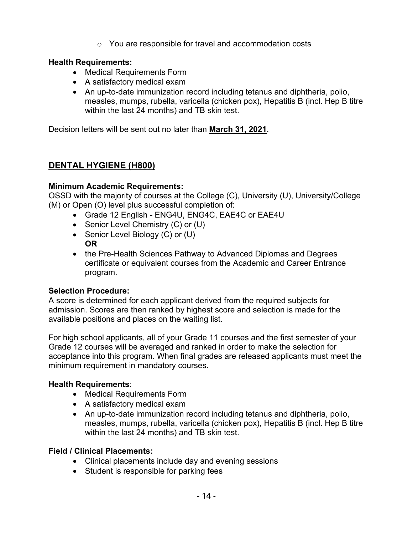o You are responsible for travel and accommodation costs

# **Health Requirements:**

- Medical Requirements Form
- A satisfactory medical exam
- An up-to-date immunization record including tetanus and diphtheria, polio, measles, mumps, rubella, varicella (chicken pox), Hepatitis B (incl. Hep B titre within the last 24 months) and TB skin test.

Decision letters will be sent out no later than **March 31, 2021**.

# <span id="page-14-0"></span>**DENTAL HYGIENE (H800)**

# **Minimum Academic Requirements:**

OSSD with the majority of courses at the College (C), University (U), University/College (M) or Open (O) level plus successful completion of:

- Grade 12 English ENG4U, ENG4C, EAE4C or EAE4U
- Senior Level Chemistry (C) or (U)
- Senior Level Biology (C) or (U) **OR**
- the Pre-Health Sciences Pathway to Advanced Diplomas and Degrees certificate or equivalent courses from the Academic and Career Entrance program.

# **Selection Procedure:**

A score is determined for each applicant derived from the required subjects for admission. Scores are then ranked by highest score and selection is made for the available positions and places on the waiting list.

For high school applicants, all of your Grade 11 courses and the first semester of your Grade 12 courses will be averaged and ranked in order to make the selection for acceptance into this program. When final grades are released applicants must meet the minimum requirement in mandatory courses.

# **Health Requirements**:

- Medical Requirements Form
- A satisfactory medical exam
- An up-to-date immunization record including tetanus and diphtheria, polio, measles, mumps, rubella, varicella (chicken pox), Hepatitis B (incl. Hep B titre within the last 24 months) and TB skin test.

# **Field / Clinical Placements:**

- Clinical placements include day and evening sessions
- Student is responsible for parking fees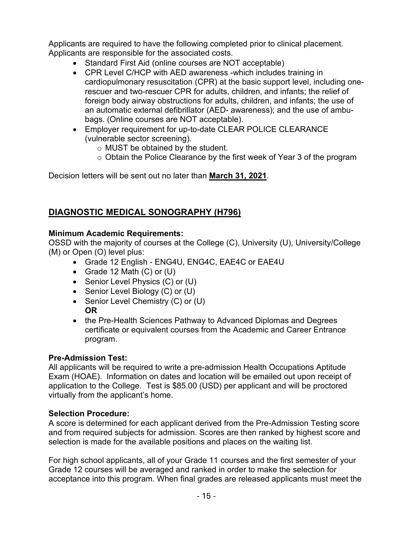Applicants are required to have the following completed prior to clinical placement. Applicants are responsible for the associated costs.

- Standard First Aid (online courses are NOT acceptable)
- CPR Level C/HCP with AED awareness -which includes training in cardiopulmonary resuscitation (CPR) at the basic support level, including onerescuer and two-rescuer CPR for adults, children, and infants; the relief of foreign body airway obstructions for adults, children, and infants; the use of an automatic external defibrillator (AED- awareness); and the use of ambubags. (Online courses are NOT acceptable).
- Employer requirement for up-to-date CLEAR POLICE CLEARANCE (vulnerable sector screening).
	- o MUST be obtained by the student.
	- o Obtain the Police Clearance by the first week of Year 3 of the program

Decision letters will be sent out no later than **March 31, 2021**.

# <span id="page-15-0"></span>**DIAGNOSTIC MEDICAL SONOGRAPHY (H796)**

## **Minimum Academic Requirements:**

OSSD with the majority of courses at the College (C), University (U), University/College (M) or Open (O) level plus:

- Grade 12 English ENG4U, ENG4C, EAE4C or EAE4U
- Grade 12 Math (C) or (U)
- Senior Level Physics (C) or (U)
- Senior Level Biology (C) or (U)
- Senior Level Chemistry (C) or (U) **OR**
- the Pre-Health Sciences Pathway to Advanced Diplomas and Degrees certificate or equivalent courses from the Academic and Career Entrance program.

## **Pre-Admission Test:**

All applicants will be required to write a pre-admission Health Occupations Aptitude Exam (HOAE). Information on dates and location will be emailed out upon receipt of application to the College. Test is \$85.00 (USD) per applicant and will be proctored virtually from the applicant's home.

## **Selection Procedure:**

A score is determined for each applicant derived from the Pre-Admission Testing score and from required subjects for admission. Scores are then ranked by highest score and selection is made for the available positions and places on the waiting list.

For high school applicants, all of your Grade 11 courses and the first semester of your Grade 12 courses will be averaged and ranked in order to make the selection for acceptance into this program. When final grades are released applicants must meet the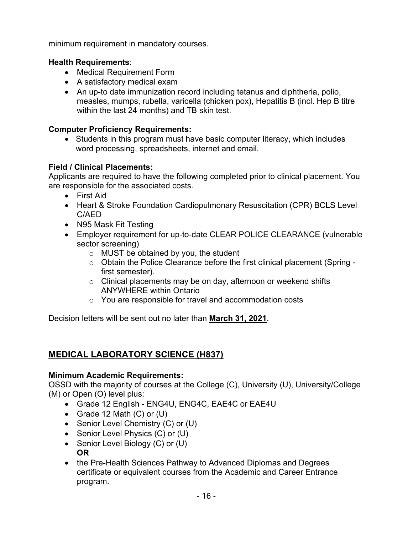minimum requirement in mandatory courses.

# **Health Requirements**:

- Medical Requirement Form
- A satisfactory medical exam
- An up-to date immunization record including tetanus and diphtheria, polio, measles, mumps, rubella, varicella (chicken pox), Hepatitis B (incl. Hep B titre within the last 24 months) and TB skin test.

# **Computer Proficiency Requirements:**

• Students in this program must have basic computer literacy, which includes word processing, spreadsheets, internet and email.

# **Field / Clinical Placements:**

Applicants are required to have the following completed prior to clinical placement. You are responsible for the associated costs.

- First Aid
- Heart & Stroke Foundation Cardiopulmonary Resuscitation (CPR) BCLS Level C/AED
- N95 Mask Fit Testing
- Employer requirement for up-to-date CLEAR POLICE CLEARANCE (vulnerable sector screening)
	- o MUST be obtained by you, the student
	- o Obtain the Police Clearance before the first clinical placement (Spring first semester).
	- o Clinical placements may be on day, afternoon or weekend shifts ANYWHERE within Ontario
	- o You are responsible for travel and accommodation costs

Decision letters will be sent out no later than **March 31, 2021**.

# <span id="page-16-0"></span>**MEDICAL LABORATORY SCIENCE (H837)**

## **Minimum Academic Requirements:**

OSSD with the majority of courses at the College (C), University (U), University/College (M) or Open (O) level plus:

- Grade 12 English ENG4U, ENG4C, EAE4C or EAE4U
- Grade 12 Math (C) or (U)
- Senior Level Chemistry (C) or (U)
- Senior Level Physics (C) or (U)
- Senior Level Biology (C) or (U) **OR**
- the Pre-Health Sciences Pathway to Advanced Diplomas and Degrees certificate or equivalent courses from the Academic and Career Entrance program.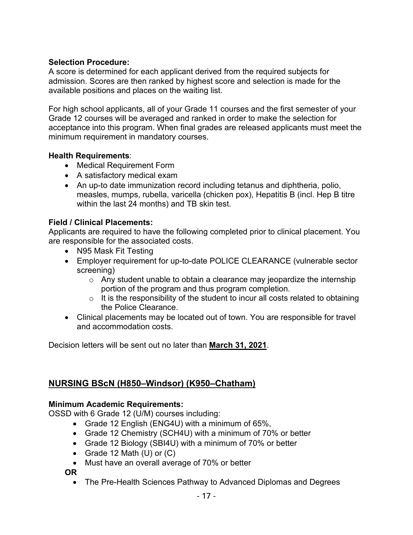## **Selection Procedure:**

A score is determined for each applicant derived from the required subjects for admission. Scores are then ranked by highest score and selection is made for the available positions and places on the waiting list.

For high school applicants, all of your Grade 11 courses and the first semester of your Grade 12 courses will be averaged and ranked in order to make the selection for acceptance into this program. When final grades are released applicants must meet the minimum requirement in mandatory courses.

#### **Health Requirements**:

- Medical Requirement Form
- A satisfactory medical exam
- An up-to date immunization record including tetanus and diphtheria, polio, measles, mumps, rubella, varicella (chicken pox), Hepatitis B (incl. Hep B titre within the last 24 months) and TB skin test.

#### **Field / Clinical Placements:**

Applicants are required to have the following completed prior to clinical placement. You are responsible for the associated costs.

- N95 Mask Fit Testing
- Employer requirement for up-to-date POLICE CLEARANCE (vulnerable sector screening)
	- $\circ$  Any student unable to obtain a clearance may jeopardize the internship portion of the program and thus program completion.
	- $\circ$  It is the responsibility of the student to incur all costs related to obtaining the Police Clearance.
- Clinical placements may be located out of town. You are responsible for travel and accommodation costs.

Decision letters will be sent out no later than **March 31, 2021**.

# <span id="page-17-0"></span>**NURSING BScN (H850–Windsor) (K950–Chatham)**

#### **Minimum Academic Requirements:**

OSSD with 6 Grade 12 (U/M) courses including:

- Grade 12 English (ENG4U) with a minimum of 65%,
- Grade 12 Chemistry (SCH4U) with a minimum of 70% or better
- Grade 12 Biology (SBI4U) with a minimum of 70% or better
- Grade 12 Math (U) or (C)
- Must have an overall average of 70% or better

**OR** 

• The Pre-Health Sciences Pathway to Advanced Diplomas and Degrees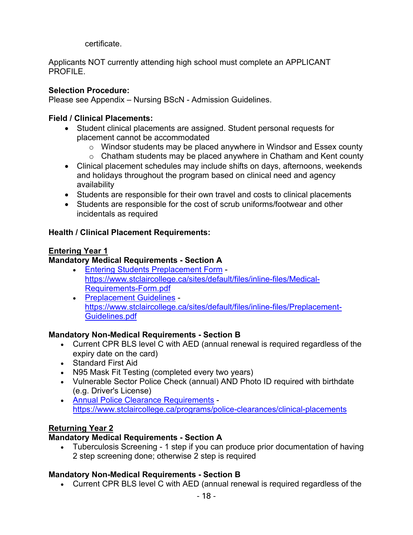certificate.

Applicants NOT currently attending high school must complete an APPLICANT PROFILE.

## **Selection Procedure:**

Please see Appendix – Nursing BScN - Admission Guidelines.

## **Field / Clinical Placements:**

- Student clinical placements are assigned. Student personal requests for placement cannot be accommodated
	- $\circ$  Windsor students may be placed anywhere in Windsor and Essex county
	- $\circ$  Chatham students may be placed anywhere in Chatham and Kent county
- Clinical placement schedules may include shifts on days, afternoons, weekends and holidays throughout the program based on clinical need and agency availability
- Students are responsible for their own travel and costs to clinical placements
- Students are responsible for the cost of scrub uniforms/footwear and other incidentals as required

# **Health / Clinical Placement Requirements:**

## **Entering Year 1**

# **Mandatory Medical Requirements - Section A**

- [Entering Students Preplacement Form](https://www.stclaircollege.ca/sites/default/files/inline-files/Medical-Requirements-Form.pdf) [https://www.stclaircollege.ca/sites/default/files/inline-files/Medical-](https://www.stclaircollege.ca/sites/default/files/inline-files/Medical-Requirements-Form.pdf)[Requirements-Form.pdf](https://www.stclaircollege.ca/sites/default/files/inline-files/Medical-Requirements-Form.pdf)
- [Preplacement Guidelines](https://www.stclaircollege.ca/sites/default/files/inline-files/Preplacement-Guidelines.pdf) [https://www.stclaircollege.ca/sites/default/files/inline-files/Preplacement-](https://www.stclaircollege.ca/sites/default/files/inline-files/Preplacement-Guidelines.pdf)[Guidelines.pdf](https://www.stclaircollege.ca/sites/default/files/inline-files/Preplacement-Guidelines.pdf)

# **Mandatory Non-Medical Requirements - Section B**

- Current CPR BLS level C with AED (annual renewal is required regardless of the expiry date on the card)
- Standard First Aid
- N95 Mask Fit Testing (completed every two years)
- Vulnerable Sector Police Check (annual) AND Photo ID required with birthdate (e.g. Driver's License)
- [Annual Police Clearance Requirements](https://www.stclaircollege.ca/programs/police-clearances/clinical-placements) <https://www.stclaircollege.ca/programs/police-clearances/clinical-placements>

# **Returning Year 2**

## **Mandatory Medical Requirements - Section A**

• Tuberculosis Screening - 1 step if you can produce prior documentation of having 2 step screening done; otherwise 2 step is required

# **Mandatory Non-Medical Requirements - Section B**

• Current CPR BLS level C with AED (annual renewal is required regardless of the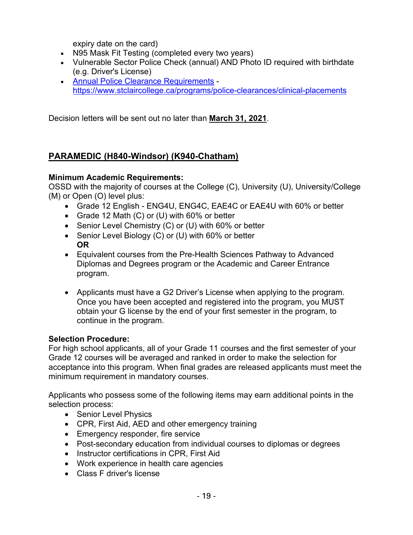expiry date on the card)

- N95 Mask Fit Testing (completed every two years)
- Vulnerable Sector Police Check (annual) AND Photo ID required with birthdate (e.g. Driver's License)
- [Annual Police Clearance Requirements](https://www.stclaircollege.ca/programs/police-clearances/clinical-placements) <https://www.stclaircollege.ca/programs/police-clearances/clinical-placements>

Decision letters will be sent out no later than **March 31, 2021**.

# <span id="page-19-0"></span>**PARAMEDIC (H840-Windsor) (K940-Chatham)**

## **Minimum Academic Requirements:**

OSSD with the majority of courses at the College (C), University (U), University/College (M) or Open (O) level plus:

- Grade 12 English ENG4U, ENG4C, EAE4C or EAE4U with 60% or better
- Grade 12 Math (C) or (U) with 60% or better
- Senior Level Chemistry (C) or (U) with 60% or better
- Senior Level Biology (C) or (U) with 60% or better **OR**
- Equivalent courses from the Pre-Health Sciences Pathway to Advanced Diplomas and Degrees program or the Academic and Career Entrance program.
- Applicants must have a G2 Driver's License when applying to the program. Once you have been accepted and registered into the program, you MUST obtain your G license by the end of your first semester in the program, to continue in the program.

## **Selection Procedure:**

For high school applicants, all of your Grade 11 courses and the first semester of your Grade 12 courses will be averaged and ranked in order to make the selection for acceptance into this program. When final grades are released applicants must meet the minimum requirement in mandatory courses.

Applicants who possess some of the following items may earn additional points in the selection process:

- Senior Level Physics
- CPR, First Aid, AED and other emergency training
- Emergency responder, fire service
- Post-secondary education from individual courses to diplomas or degrees
- Instructor certifications in CPR, First Aid
- Work experience in health care agencies
- Class F driver's license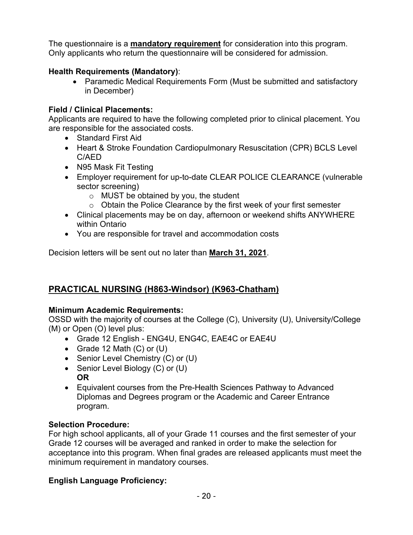The questionnaire is a **mandatory requirement** for consideration into this program. Only applicants who return the questionnaire will be considered for admission.

# **Health Requirements (Mandatory)**:

• Paramedic Medical Requirements Form (Must be submitted and satisfactory in December)

# **Field / Clinical Placements:**

Applicants are required to have the following completed prior to clinical placement. You are responsible for the associated costs.

- Standard First Aid
- Heart & Stroke Foundation Cardiopulmonary Resuscitation (CPR) BCLS Level C/AED
- N95 Mask Fit Testing
- Employer requirement for up-to-date CLEAR POLICE CLEARANCE (vulnerable sector screening)
	- o MUST be obtained by you, the student
	- $\circ$  Obtain the Police Clearance by the first week of your first semester
- Clinical placements may be on day, afternoon or weekend shifts ANYWHERE within Ontario
- You are responsible for travel and accommodation costs

Decision letters will be sent out no later than **March 31, 2021**.

# <span id="page-20-0"></span>**PRACTICAL NURSING (H863-Windsor) (K963-Chatham)**

## **Minimum Academic Requirements:**

OSSD with the majority of courses at the College (C), University (U), University/College (M) or Open (O) level plus:

- Grade 12 English ENG4U, ENG4C, EAE4C or EAE4U
- Grade 12 Math (C) or (U)
- Senior Level Chemistry (C) or (U)
- Senior Level Biology (C) or (U) **OR**
- Equivalent courses from the Pre-Health Sciences Pathway to Advanced Diplomas and Degrees program or the Academic and Career Entrance program.

## **Selection Procedure:**

For high school applicants, all of your Grade 11 courses and the first semester of your Grade 12 courses will be averaged and ranked in order to make the selection for acceptance into this program. When final grades are released applicants must meet the minimum requirement in mandatory courses.

## **English Language Proficiency:**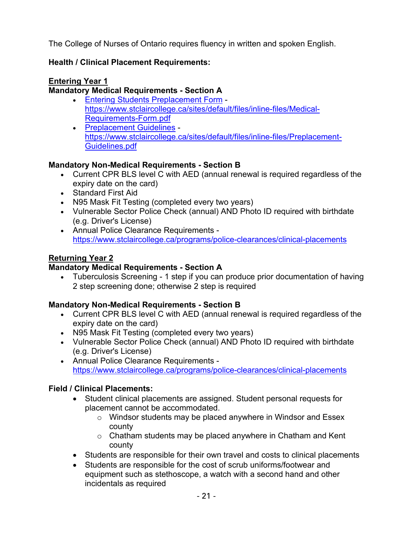The College of Nurses of Ontario requires fluency in written and spoken English.

# **Health / Clinical Placement Requirements:**

# **Entering Year 1**

# **Mandatory Medical Requirements - Section A**

- [Entering Students Preplacement Form](https://www.stclaircollege.ca/sites/default/files/inline-files/Medical-Requirements-Form.pdf) [https://www.stclaircollege.ca/sites/default/files/inline-files/Medical-](https://www.stclaircollege.ca/sites/default/files/inline-files/Medical-Requirements-Form.pdf)[Requirements-Form.pdf](https://www.stclaircollege.ca/sites/default/files/inline-files/Medical-Requirements-Form.pdf)
- [Preplacement Guidelines](https://www.stclaircollege.ca/sites/default/files/inline-files/Preplacement-Guidelines.pdf) [https://www.stclaircollege.ca/sites/default/files/inline-files/Preplacement-](https://www.stclaircollege.ca/sites/default/files/inline-files/Preplacement-Guidelines.pdf)[Guidelines.pdf](https://www.stclaircollege.ca/sites/default/files/inline-files/Preplacement-Guidelines.pdf)

# **Mandatory Non-Medical Requirements - Section B**

- Current CPR BLS level C with AED (annual renewal is required regardless of the expiry date on the card)
- Standard First Aid
- N95 Mask Fit Testing (completed every two years)
- Vulnerable Sector Police Check (annual) AND Photo ID required with birthdate (e.g. Driver's License)
- [Annual Police Clearance Requirements](https://www.stclaircollege.ca/programs/police-clearances/clinical-placements) <https://www.stclaircollege.ca/programs/police-clearances/clinical-placements>

# **Returning Year 2**

# **Mandatory Medical Requirements - Section A**

• Tuberculosis Screening - 1 step if you can produce prior documentation of having 2 step screening done; otherwise 2 step is required

# **Mandatory Non-Medical Requirements - Section B**

- Current CPR BLS level C with AED (annual renewal is required regardless of the expiry date on the card)
- N95 Mask Fit Testing (completed every two years)
- Vulnerable Sector Police Check (annual) AND Photo ID required with birthdate (e.g. Driver's License)
- [Annual Police Clearance Requirements](https://www.stclaircollege.ca/programs/police-clearances/clinical-placements) <https://www.stclaircollege.ca/programs/police-clearances/clinical-placements>

# **Field / Clinical Placements:**

- Student clinical placements are assigned. Student personal requests for placement cannot be accommodated.
	- o Windsor students may be placed anywhere in Windsor and Essex county
	- $\circ$  Chatham students may be placed anywhere in Chatham and Kent county
- Students are responsible for their own travel and costs to clinical placements
- Students are responsible for the cost of scrub uniforms/footwear and equipment such as stethoscope, a watch with a second hand and other incidentals as required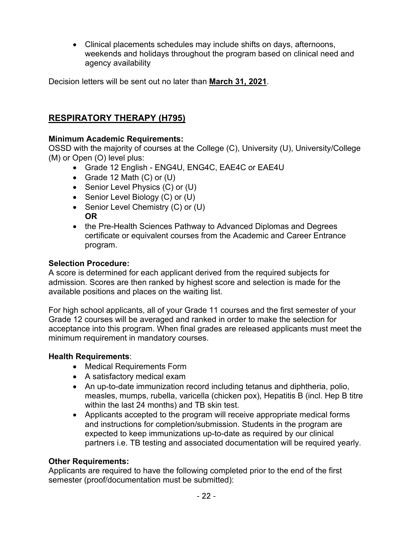• Clinical placements schedules may include shifts on days, afternoons, weekends and holidays throughout the program based on clinical need and agency availability

Decision letters will be sent out no later than **March 31, 2021**.

# <span id="page-22-0"></span>**RESPIRATORY THERAPY (H795)**

# **Minimum Academic Requirements:**

OSSD with the majority of courses at the College (C), University (U), University/College (M) or Open (O) level plus:

- Grade 12 English ENG4U, ENG4C, EAE4C or EAE4U
- Grade 12 Math (C) or (U)
- Senior Level Physics (C) or (U)
- Senior Level Biology (C) or (U)
- Senior Level Chemistry (C) or (U) **OR**
- the Pre-Health Sciences Pathway to Advanced Diplomas and Degrees certificate or equivalent courses from the Academic and Career Entrance program.

# **Selection Procedure:**

A score is determined for each applicant derived from the required subjects for admission. Scores are then ranked by highest score and selection is made for the available positions and places on the waiting list.

For high school applicants, all of your Grade 11 courses and the first semester of your Grade 12 courses will be averaged and ranked in order to make the selection for acceptance into this program. When final grades are released applicants must meet the minimum requirement in mandatory courses.

## **Health Requirements**:

- Medical Requirements Form
- A satisfactory medical exam
- An up-to-date immunization record including tetanus and diphtheria, polio, measles, mumps, rubella, varicella (chicken pox), Hepatitis B (incl. Hep B titre within the last 24 months) and TB skin test.
- Applicants accepted to the program will receive appropriate medical forms and instructions for completion/submission. Students in the program are expected to keep immunizations up-to-date as required by our clinical partners i.e. TB testing and associated documentation will be required yearly.

# **Other Requirements:**

Applicants are required to have the following completed prior to the end of the first semester (proof/documentation must be submitted):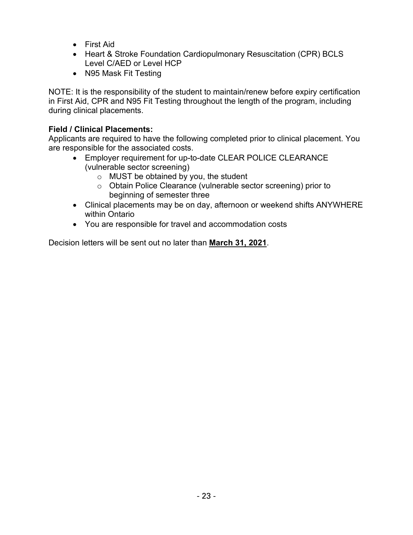- First Aid
- Heart & Stroke Foundation Cardiopulmonary Resuscitation (CPR) BCLS Level C/AED or Level HCP
- N95 Mask Fit Testing

NOTE: It is the responsibility of the student to maintain/renew before expiry certification in First Aid, CPR and N95 Fit Testing throughout the length of the program, including during clinical placements.

# **Field / Clinical Placements:**

Applicants are required to have the following completed prior to clinical placement. You are responsible for the associated costs.

- Employer requirement for up-to-date CLEAR POLICE CLEARANCE (vulnerable sector screening)
	- o MUST be obtained by you, the student
	- o Obtain Police Clearance (vulnerable sector screening) prior to beginning of semester three
- Clinical placements may be on day, afternoon or weekend shifts ANYWHERE within Ontario
- You are responsible for travel and accommodation costs

Decision letters will be sent out no later than **March 31, 2021**.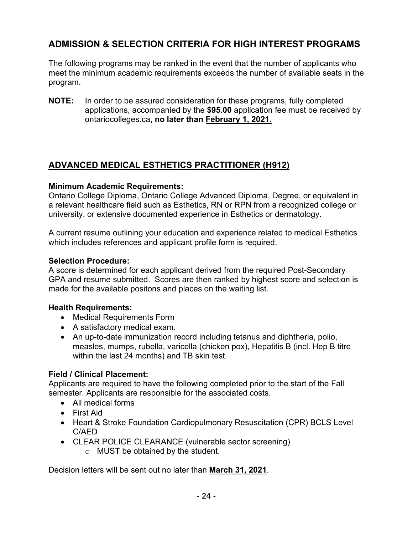# <span id="page-24-0"></span>**ADMISSION & SELECTION CRITERIA FOR HIGH INTEREST PROGRAMS**

The following programs may be ranked in the event that the number of applicants who meet the minimum academic requirements exceeds the number of available seats in the program.

**NOTE:** In order to be assured consideration for these programs, fully completed applications, accompanied by the **\$95.00** application fee must be received by ontariocolleges.ca, **no later than February 1, 2021.**

# <span id="page-24-1"></span>**ADVANCED MEDICAL ESTHETICS PRACTITIONER (H912)**

## **Minimum Academic Requirements:**

Ontario College Diploma, Ontario College Advanced Diploma, Degree, or equivalent in a relevant healthcare field such as Esthetics, RN or RPN from a recognized college or university, or extensive documented experience in Esthetics or dermatology.

A current resume outlining your education and experience related to medical Esthetics which includes references and applicant profile form is required.

## **Selection Procedure:**

A score is determined for each applicant derived from the required Post-Secondary GPA and resume submitted. Scores are then ranked by highest score and selection is made for the available positons and places on the waiting list.

## **Health Requirements:**

- Medical Requirements Form
- A satisfactory medical exam.
- An up-to-date immunization record including tetanus and diphtheria, polio, measles, mumps, rubella, varicella (chicken pox), Hepatitis B (incl. Hep B titre within the last 24 months) and TB skin test.

# **Field / Clinical Placement:**

Applicants are required to have the following completed prior to the start of the Fall semester. Applicants are responsible for the associated costs.

- All medical forms
- First Aid
- Heart & Stroke Foundation Cardiopulmonary Resuscitation (CPR) BCLS Level C/AED
- CLEAR POLICE CLEARANCE (vulnerable sector screening)
	- o MUST be obtained by the student.

Decision letters will be sent out no later than **March 31, 2021**.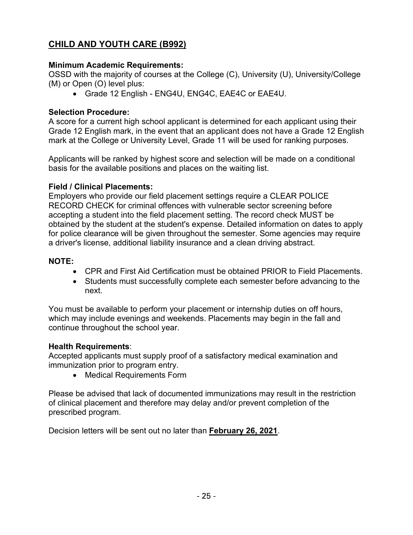# <span id="page-25-0"></span>**CHILD AND YOUTH CARE (B992)**

#### **Minimum Academic Requirements:**

OSSD with the majority of courses at the College (C), University (U), University/College (M) or Open (O) level plus:

• Grade 12 English - ENG4U, ENG4C, EAE4C or EAE4U.

#### **Selection Procedure:**

A score for a current high school applicant is determined for each applicant using their Grade 12 English mark, in the event that an applicant does not have a Grade 12 English mark at the College or University Level, Grade 11 will be used for ranking purposes.

Applicants will be ranked by highest score and selection will be made on a conditional basis for the available positions and places on the waiting list.

#### **Field / Clinical Placements:**

Employers who provide our field placement settings require a CLEAR POLICE RECORD CHECK for criminal offences with vulnerable sector screening before accepting a student into the field placement setting. The record check MUST be obtained by the student at the student's expense. Detailed information on dates to apply for police clearance will be given throughout the semester. Some agencies may require a driver's license, additional liability insurance and a clean driving abstract.

#### **NOTE:**

- CPR and First Aid Certification must be obtained PRIOR to Field Placements.
- Students must successfully complete each semester before advancing to the next.

You must be available to perform your placement or internship duties on off hours, which may include evenings and weekends. Placements may begin in the fall and continue throughout the school year.

#### **Health Requirements**:

Accepted applicants must supply proof of a satisfactory medical examination and immunization prior to program entry.

• Medical Requirements Form

Please be advised that lack of documented immunizations may result in the restriction of clinical placement and therefore may delay and/or prevent completion of the prescribed program.

Decision letters will be sent out no later than **February 26, 2021**.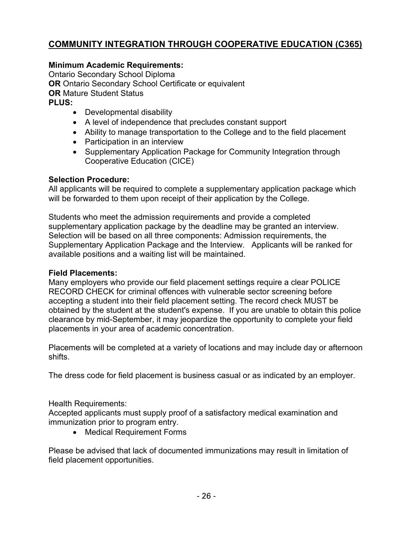# <span id="page-26-0"></span>**COMMUNITY INTEGRATION THROUGH COOPERATIVE EDUCATION (C365)**

## **Minimum Academic Requirements:**

Ontario Secondary School Diploma **OR** Ontario Secondary School Certificate or equivalent **OR** Mature Student Status **PLUS:** 

- Developmental disability
- A level of independence that precludes constant support
- Ability to manage transportation to the College and to the field placement
- Participation in an interview
- Supplementary Application Package for Community Integration through Cooperative Education (CICE)

#### **Selection Procedure:**

All applicants will be required to complete a supplementary application package which will be forwarded to them upon receipt of their application by the College.

Students who meet the admission requirements and provide a completed supplementary application package by the deadline may be granted an interview. Selection will be based on all three components: Admission requirements, the Supplementary Application Package and the Interview. Applicants will be ranked for available positions and a waiting list will be maintained.

#### **Field Placements:**

Many employers who provide our field placement settings require a clear POLICE RECORD CHECK for criminal offences with vulnerable sector screening before accepting a student into their field placement setting. The record check MUST be obtained by the student at the student's expense. If you are unable to obtain this police clearance by mid-September, it may jeopardize the opportunity to complete your field placements in your area of academic concentration.

Placements will be completed at a variety of locations and may include day or afternoon shifts.

The dress code for field placement is business casual or as indicated by an employer.

#### Health Requirements:

Accepted applicants must supply proof of a satisfactory medical examination and immunization prior to program entry.

• Medical Requirement Forms

Please be advised that lack of documented immunizations may result in limitation of field placement opportunities.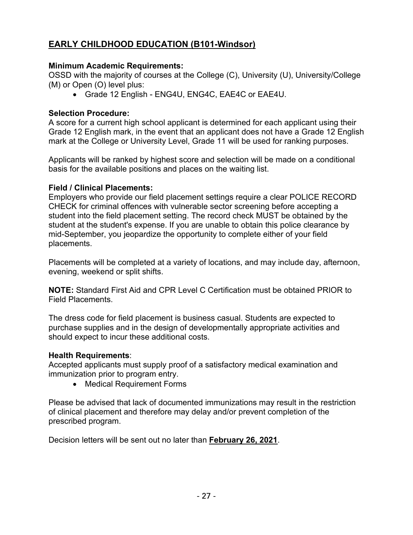# <span id="page-27-0"></span>**EARLY CHILDHOOD EDUCATION (B101-Windsor)**

#### **Minimum Academic Requirements:**

OSSD with the majority of courses at the College (C), University (U), University/College (M) or Open (O) level plus:

• Grade 12 English - ENG4U, ENG4C, EAE4C or EAE4U.

#### **Selection Procedure:**

A score for a current high school applicant is determined for each applicant using their Grade 12 English mark, in the event that an applicant does not have a Grade 12 English mark at the College or University Level, Grade 11 will be used for ranking purposes.

Applicants will be ranked by highest score and selection will be made on a conditional basis for the available positions and places on the waiting list.

#### **Field / Clinical Placements:**

Employers who provide our field placement settings require a clear POLICE RECORD CHECK for criminal offences with vulnerable sector screening before accepting a student into the field placement setting. The record check MUST be obtained by the student at the student's expense. If you are unable to obtain this police clearance by mid-September, you jeopardize the opportunity to complete either of your field placements.

Placements will be completed at a variety of locations, and may include day, afternoon, evening, weekend or split shifts.

**NOTE:** Standard First Aid and CPR Level C Certification must be obtained PRIOR to Field Placements.

The dress code for field placement is business casual. Students are expected to purchase supplies and in the design of developmentally appropriate activities and should expect to incur these additional costs.

#### **Health Requirements**:

Accepted applicants must supply proof of a satisfactory medical examination and immunization prior to program entry.

• Medical Requirement Forms

Please be advised that lack of documented immunizations may result in the restriction of clinical placement and therefore may delay and/or prevent completion of the prescribed program.

Decision letters will be sent out no later than **February 26, 2021**.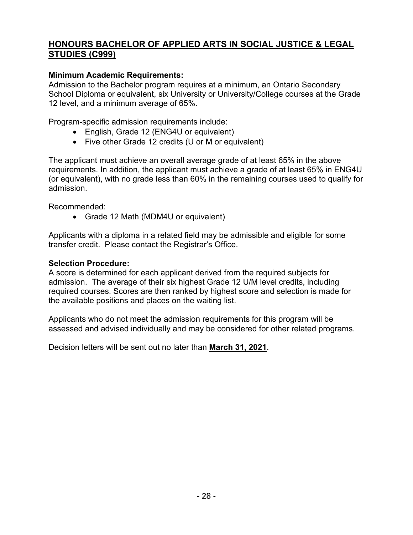# <span id="page-28-0"></span>**HONOURS BACHELOR OF APPLIED ARTS IN SOCIAL JUSTICE & LEGAL STUDIES (C999)**

## **Minimum Academic Requirements:**

Admission to the Bachelor program requires at a minimum, an Ontario Secondary School Diploma or equivalent, six University or University/College courses at the Grade 12 level, and a minimum average of 65%.

Program-specific admission requirements include:

- English, Grade 12 (ENG4U or equivalent)
- Five other Grade 12 credits (U or M or equivalent)

The applicant must achieve an overall average grade of at least 65% in the above requirements. In addition, the applicant must achieve a grade of at least 65% in ENG4U (or equivalent), with no grade less than 60% in the remaining courses used to qualify for admission.

Recommended:

• Grade 12 Math (MDM4U or equivalent)

Applicants with a diploma in a related field may be admissible and eligible for some transfer credit. Please contact the Registrar's Office.

#### **Selection Procedure:**

A score is determined for each applicant derived from the required subjects for admission. The average of their six highest Grade 12 U/M level credits, including required courses. Scores are then ranked by highest score and selection is made for the available positions and places on the waiting list.

Applicants who do not meet the admission requirements for this program will be assessed and advised individually and may be considered for other related programs.

Decision letters will be sent out no later than **March 31, 2021**.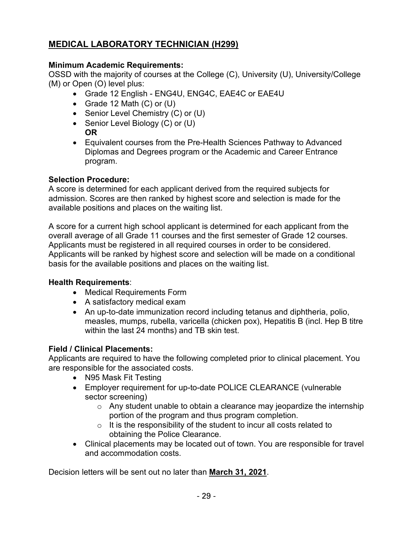# <span id="page-29-0"></span>**MEDICAL LABORATORY TECHNICIAN (H299)**

# **Minimum Academic Requirements:**

OSSD with the majority of courses at the College (C), University (U), University/College (M) or Open (O) level plus:

- Grade 12 English ENG4U, ENG4C, EAE4C or EAE4U
- Grade 12 Math (C) or (U)
- Senior Level Chemistry (C) or (U)
- Senior Level Biology (C) or (U)
- **OR**
- Equivalent courses from the Pre-Health Sciences Pathway to Advanced Diplomas and Degrees program or the Academic and Career Entrance program.

# **Selection Procedure:**

A score is determined for each applicant derived from the required subjects for admission. Scores are then ranked by highest score and selection is made for the available positions and places on the waiting list.

A score for a current high school applicant is determined for each applicant from the overall average of all Grade 11 courses and the first semester of Grade 12 courses. Applicants must be registered in all required courses in order to be considered. Applicants will be ranked by highest score and selection will be made on a conditional basis for the available positions and places on the waiting list.

## **Health Requirements**:

- Medical Requirements Form
- A satisfactory medical exam
- An up-to-date immunization record including tetanus and diphtheria, polio, measles, mumps, rubella, varicella (chicken pox), Hepatitis B (incl. Hep B titre within the last 24 months) and TB skin test.

# **Field / Clinical Placements:**

Applicants are required to have the following completed prior to clinical placement. You are responsible for the associated costs.

- N95 Mask Fit Testing
- Employer requirement for up-to-date POLICE CLEARANCE (vulnerable sector screening)
	- $\circ$  Any student unable to obtain a clearance may jeopardize the internship portion of the program and thus program completion.
	- $\circ$  It is the responsibility of the student to incur all costs related to obtaining the Police Clearance.
- Clinical placements may be located out of town. You are responsible for travel and accommodation costs.

Decision letters will be sent out no later than **March 31, 2021**.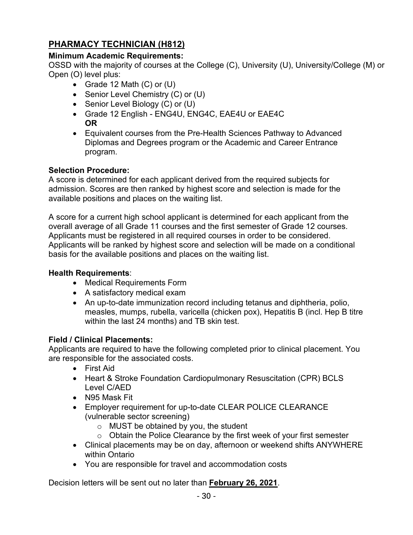# <span id="page-30-0"></span>**PHARMACY TECHNICIAN (H812)**

## **Minimum Academic Requirements:**

OSSD with the majority of courses at the College (C), University (U), University/College (M) or Open (O) level plus:

- Grade 12 Math (C) or (U)
- Senior Level Chemistry (C) or (U)
- Senior Level Biology (C) or (U)
- Grade 12 English ENG4U, ENG4C, EAE4U or EAE4C **OR**
- Equivalent courses from the Pre-Health Sciences Pathway to Advanced Diplomas and Degrees program or the Academic and Career Entrance program.

## **Selection Procedure:**

A score is determined for each applicant derived from the required subjects for admission. Scores are then ranked by highest score and selection is made for the available positions and places on the waiting list.

A score for a current high school applicant is determined for each applicant from the overall average of all Grade 11 courses and the first semester of Grade 12 courses. Applicants must be registered in all required courses in order to be considered. Applicants will be ranked by highest score and selection will be made on a conditional basis for the available positions and places on the waiting list.

## **Health Requirements**:

- Medical Requirements Form
- A satisfactory medical exam
- An up-to-date immunization record including tetanus and diphtheria, polio, measles, mumps, rubella, varicella (chicken pox), Hepatitis B (incl. Hep B titre within the last 24 months) and TB skin test.

## **Field / Clinical Placements:**

Applicants are required to have the following completed prior to clinical placement. You are responsible for the associated costs.

- First Aid
- Heart & Stroke Foundation Cardiopulmonary Resuscitation (CPR) BCLS Level C/AED
- N95 Mask Fit
- Employer requirement for up-to-date CLEAR POLICE CLEARANCE (vulnerable sector screening)
	- o MUST be obtained by you, the student
	- o Obtain the Police Clearance by the first week of your first semester
- Clinical placements may be on day, afternoon or weekend shifts ANYWHERE within Ontario
- You are responsible for travel and accommodation costs

Decision letters will be sent out no later than **February 26, 2021**.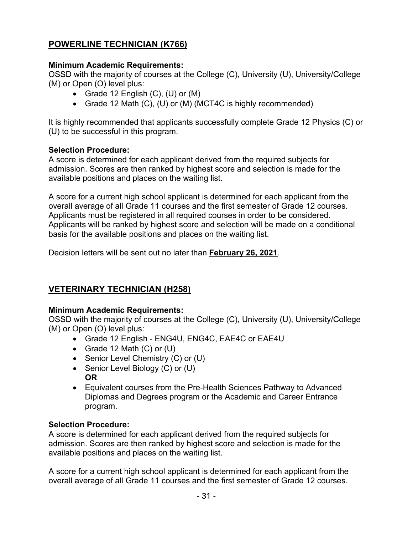# <span id="page-31-0"></span>**POWERLINE TECHNICIAN (K766)**

# **Minimum Academic Requirements:**

OSSD with the majority of courses at the College (C), University (U), University/College (M) or Open (O) level plus:

- Grade 12 English  $(C)$ ,  $(U)$  or  $(M)$
- Grade 12 Math (C), (U) or (M) (MCT4C is highly recommended)

It is highly recommended that applicants successfully complete Grade 12 Physics (C) or (U) to be successful in this program.

# **Selection Procedure:**

A score is determined for each applicant derived from the required subjects for admission. Scores are then ranked by highest score and selection is made for the available positions and places on the waiting list.

A score for a current high school applicant is determined for each applicant from the overall average of all Grade 11 courses and the first semester of Grade 12 courses. Applicants must be registered in all required courses in order to be considered. Applicants will be ranked by highest score and selection will be made on a conditional basis for the available positions and places on the waiting list.

Decision letters will be sent out no later than **February 26, 2021**.

# <span id="page-31-1"></span>**VETERINARY TECHNICIAN (H258)**

## **Minimum Academic Requirements:**

OSSD with the majority of courses at the College (C), University (U), University/College (M) or Open (O) level plus:

- Grade 12 English ENG4U, ENG4C, EAE4C or EAE4U
- Grade 12 Math (C) or (U)
- Senior Level Chemistry (C) or (U)
- Senior Level Biology (C) or (U) **OR**
- Equivalent courses from the Pre-Health Sciences Pathway to Advanced Diplomas and Degrees program or the Academic and Career Entrance program.

## **Selection Procedure:**

A score is determined for each applicant derived from the required subjects for admission. Scores are then ranked by highest score and selection is made for the available positions and places on the waiting list.

A score for a current high school applicant is determined for each applicant from the overall average of all Grade 11 courses and the first semester of Grade 12 courses.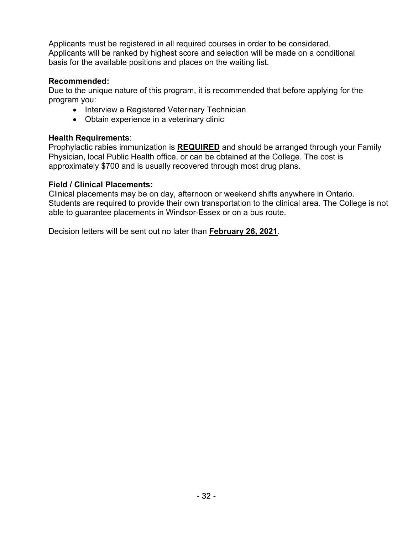Applicants must be registered in all required courses in order to be considered. Applicants will be ranked by highest score and selection will be made on a conditional basis for the available positions and places on the waiting list.

## **Recommended:**

Due to the unique nature of this program, it is recommended that before applying for the program you:

- Interview a Registered Veterinary Technician
- Obtain experience in a veterinary clinic

#### **Health Requirements**:

Prophylactic rabies immunization is **REQUIRED** and should be arranged through your Family Physician, local Public Health office, or can be obtained at the College. The cost is approximately \$700 and is usually recovered through most drug plans.

#### **Field / Clinical Placements:**

Clinical placements may be on day, afternoon or weekend shifts anywhere in Ontario. Students are required to provide their own transportation to the clinical area. The College is not able to guarantee placements in Windsor-Essex or on a bus route.

Decision letters will be sent out no later than **February 26, 2021**.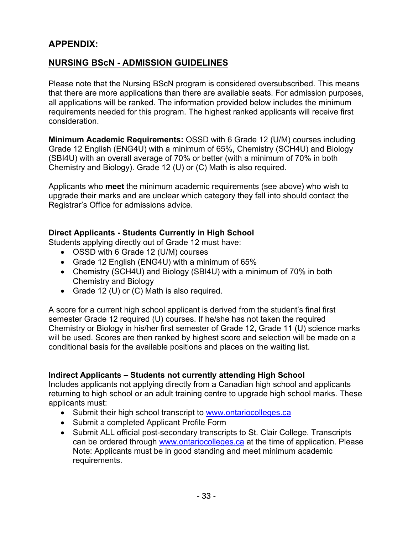# <span id="page-33-0"></span>**APPENDIX:**

# <span id="page-33-1"></span>**NURSING BScN - ADMISSION GUIDELINES**

Please note that the Nursing BScN program is considered oversubscribed. This means that there are more applications than there are available seats. For admission purposes, all applications will be ranked. The information provided below includes the minimum requirements needed for this program. The highest ranked applicants will receive first consideration.

**Minimum Academic Requirements:** OSSD with 6 Grade 12 (U/M) courses including Grade 12 English (ENG4U) with a minimum of 65%, Chemistry (SCH4U) and Biology (SBI4U) with an overall average of 70% or better (with a minimum of 70% in both Chemistry and Biology). Grade 12 (U) or (C) Math is also required.

Applicants who **meet** the minimum academic requirements (see above) who wish to upgrade their marks and are unclear which category they fall into should contact the Registrar's Office for admissions advice.

## **Direct Applicants - Students Currently in High School**

Students applying directly out of Grade 12 must have:

- OSSD with 6 Grade 12 (U/M) courses
- Grade 12 English (ENG4U) with a minimum of 65%
- Chemistry (SCH4U) and Biology (SBI4U) with a minimum of 70% in both Chemistry and Biology
- Grade 12 (U) or (C) Math is also required.

A score for a current high school applicant is derived from the student's final first semester Grade 12 required (U) courses. If he/she has not taken the required Chemistry or Biology in his/her first semester of Grade 12, Grade 11 (U) science marks will be used. Scores are then ranked by highest score and selection will be made on a conditional basis for the available positions and places on the waiting list.

#### **Indirect Applicants – Students not currently attending High School**

Includes applicants not applying directly from a Canadian high school and applicants returning to high school or an adult training centre to upgrade high school marks. These applicants must:

- Submit their high school transcript to [www.ontariocolleges.ca](http://www.ontariocolleges.ca/)
- Submit a completed Applicant Profile Form
- Submit ALL official post-secondary transcripts to St. Clair College. Transcripts can be ordered through [www.ontariocolleges.ca](http://www.ontariocolleges.ca/) at the time of application. Please Note: Applicants must be in good standing and meet minimum academic requirements.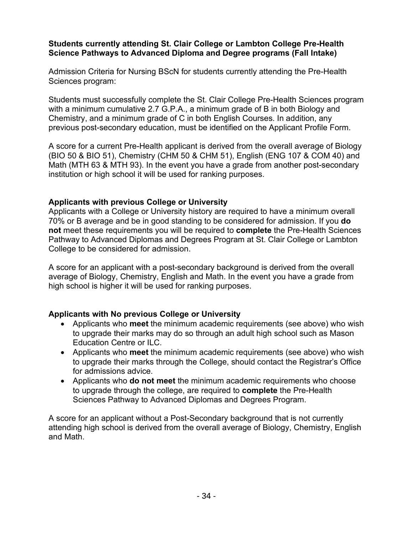#### **Students currently attending St. Clair College or Lambton College Pre-Health Science Pathways to Advanced Diploma and Degree programs (Fall Intake)**

Admission Criteria for Nursing BScN for students currently attending the Pre-Health Sciences program:

Students must successfully complete the St. Clair College Pre-Health Sciences program with a minimum cumulative 2.7 G.P.A., a minimum grade of B in both Biology and Chemistry, and a minimum grade of C in both English Courses. In addition, any previous post-secondary education, must be identified on the Applicant Profile Form.

A score for a current Pre-Health applicant is derived from the overall average of Biology (BIO 50 & BIO 51), Chemistry (CHM 50 & CHM 51), English (ENG 107 & COM 40) and Math (MTH 63 & MTH 93). In the event you have a grade from another post-secondary institution or high school it will be used for ranking purposes.

#### **Applicants with previous College or University**

Applicants with a College or University history are required to have a minimum overall 70% or B average and be in good standing to be considered for admission. If you **do not** meet these requirements you will be required to **complete** the Pre-Health Sciences Pathway to Advanced Diplomas and Degrees Program at St. Clair College or Lambton College to be considered for admission.

A score for an applicant with a post-secondary background is derived from the overall average of Biology, Chemistry, English and Math. In the event you have a grade from high school is higher it will be used for ranking purposes.

## **Applicants with No previous College or University**

- Applicants who **meet** the minimum academic requirements (see above) who wish to upgrade their marks may do so through an adult high school such as Mason Education Centre or ILC.
- Applicants who **meet** the minimum academic requirements (see above) who wish to upgrade their marks through the College, should contact the Registrar's Office for admissions advice.
- Applicants who **do not meet** the minimum academic requirements who choose to upgrade through the college, are required to **complete** the Pre-Health Sciences Pathway to Advanced Diplomas and Degrees Program.

A score for an applicant without a Post-Secondary background that is not currently attending high school is derived from the overall average of Biology, Chemistry, English and Math.